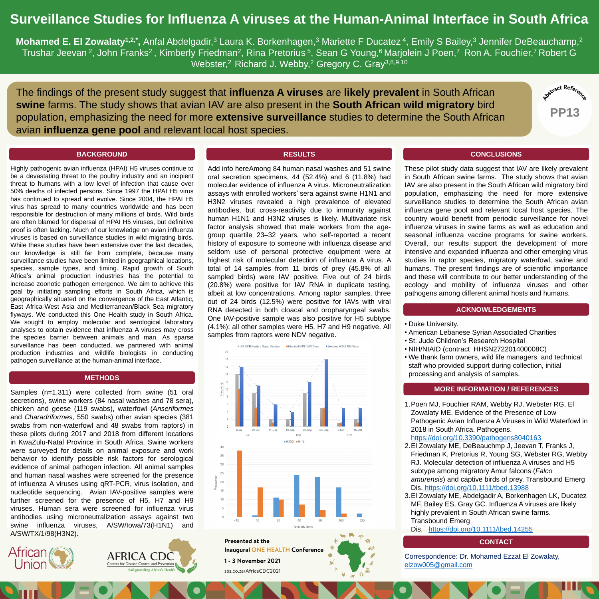# **Surveillance Studies for Influenza A viruses at the Human-Animal Interface in South Africa**

**Mohamed E. El Zowalaty<sup>1,2,\*</sup>,** Anfal Abdelgadir,<sup>3</sup> Laura K. Borkenhagen,<sup>3</sup> Mariette F Ducatez <sup>4</sup>, Emily S Bailey,<sup>3</sup> Jennifer DeBeauchamp,<sup>2</sup> Trushar Jeevan <sup>2</sup>, John Franks<sup>2</sup>, Kimberly Friedman<sup>2</sup>, Rina Pretorius <sup>5</sup>, Sean G Young,<sup>6</sup> Marjolein J Poen,<sup>7</sup> Ron A. Fouchier,<sup>7</sup> Robert G Webster,<sup>2</sup> Richard J. Webby,<sup>2</sup> Gregory C. Gray<sup>3,8,9,10</sup>

The findings of the present study suggest that **influenza A viruses** are **likely prevalent** in South African **swine** farms. The study shows that avian IAV are also present in the **South African wild migratory** bird population, emphasizing the need for more **extensive surveillance** studies to determine the South African avian **influenza gene pool** and relevant local host species.

Highly pathogenic avian influenza (HPAI) H5 viruses continue to be a devastating threat to the poultry industry and an incipient threat to humans with a low level of infection that cause over 50% deaths of infected persons. Since 1997 the HPAI H5 virus has continued to spread and evolve. Since 2004, the HPAI H5 virus has spread to many countries worldwide and has been responsible for destruction of many millions of birds. Wild birds are often blamed for dispersal of HPAI H5 viruses, but definitive proof is often lacking. Much of our knowledge on avian influenza viruses is based on surveillance studies in wild migrating birds. While these studies have been extensive over the last decades, our knowledge is still far from complete, because many surveillance studies have been limited in geographical locations, species, sample types, and timing. Rapid growth of South Africa's animal production industries has the potential to increase zoonotic pathogen emergence. We aim to achieve this goal by initiating sampling efforts in South Africa, which is geographically situated on the convergence of the East Atlantic, East Africa-West Asia and Mediterranean/Black Sea migratory

flyways. We conducted this One Health study in South Africa. We sought to employ molecular and serological laboratory analyses to obtain evidence that influenza A viruses may cross the species barrier between animals and man. As sparse surveillance has been conducted, we partnered with animal production industries and wildlife biologists in conducting pathogen surveillance at the human-animal interface.

#### **BACKGROUND**

Samples (n=1,311) were collected from swine (51 oral secretions), swine workers (84 nasal washes and 78 sera), chicken and geese (119 swabs), waterfowl (*Anseriformes* and *Charadriformes*, 550 swabs) other avian species (381 swabs from non-waterfowl and 48 swabs from raptors) in these pilots during 2017 and 2018 from different locations in KwaZulu-Natal Province in South Africa. Swine workers were surveyed for details on animal exposure and work behavior to identify possible risk factors for serological evidence of animal pathogen infection. All animal samples and human nasal washes were screened for the presence of influenza A viruses using qRT-PCR, virus isolation, and nucleotide sequencing. Avian IAV-positive samples were further screened for the presence of H5, H7 and H9 viruses. Human sera were screened for influenza virus antibodies using microneutralization assays against two swine influenza viruses, A/SW/Iowa/73(H1N1) and A/SW/TX/1/98(H3N2).

# **METHODS**

Add info hereAmong 84 human nasal washes and 51 swine oral secretion specimens, 44 (52.4%) and 6 (11.8%) had molecular evidence of influenza A virus. Microneutralization assays with enrolled workers' sera against swine H1N1 and H3N2 viruses revealed a high prevalence of elevated antibodies, but cross-reactivity due to immunity against human H1N1 and H3N2 viruses is likely. Multivariate risk factor analysis showed that male workers from the agegroup quartile 23–32 years, who self-reported a recent history of exposure to someone with influenza disease and seldom use of personal protective equipment were at highest risk of molecular detection of influenza A virus. A total of 14 samples from 11 birds of prey (45.8% of all sampled birds) were IAV positive. Five out of 24 birds (20.8%) were positive for IAV RNA in duplicate testing, albeit at low concentrations. Among raptor samples, three out of 24 birds (12.5%) were positive for IAVs with viral RNA detected in both cloacal and oropharyngeal swabs.

One IAV-positive sample was also positive for H5 subtype (4.1%); all other samples were H5, H7 and H9 negative. All samples from raptors were NDV negative.



#### **RESULTS**

These pilot study data suggest that IAV are likely prevalent in South African swine farms. The study shows that avian IAV are also present in the South African wild migratory bird population, emphasizing the need for more extensive surveillance studies to determine the South African avian influenza gene pool and relevant local host species. The country would benefit from periodic surveillance for novel influenza viruses in swine farms as well as education and seasonal influenza vaccine programs for swine workers. Overall, our results support the development of more intensive and expanded influenza and other emerging virus studies in raptor species, migratory waterfowl, swine and humans. The present findings are of scientific importance and these will contribute to our better understanding of the ecology and mobility of influenza viruses and other pathogens among different animal hosts and humans.

#### **CONCLUSIONS**

### • Duke University.

• American Lebanese Syrian Associated Charities

• St. Jude Children's Research Hospital

- NIH/NIAID (contract HHSN272201400008C)
- We thank farm owners, wild life managers, and technical staff who provided support during collection, initial processing and analysis of samples.

#### **ACKNOWLEDGEMENTS**

Correspondence: Dr. Mohamed Ezzat El Zowalaty, [elzow005@gmail.com](mailto:elzow005@gmail.com)

# **CONTACT**

1.Poen MJ, Fouchier RAM, Webby RJ, Webster RG, El Zowalaty ME. Evidence of the Presence of Low Pathogenic Avian Influenza A Viruses in Wild Waterfowl in 2018 in South Africa. Pathogens. <https://doi.org/10.3390/pathogens8040163> 2.El Zowalaty ME, DeBeauchmp J, Jeevan T, Franks J, Friedman K, Pretorius R, Young SG, Webster RG, Webby RJ. Molecular detection of influenza A viruses and H5



**AFRICA CDC** Centres for Disease Control and Prevention **Safeguarding Africa's Health** 

**Presented at the Inaugural ONE HEALTH Conference** 

1 - 3 November 2021

sbs.co.za/AfricaCDC2021

subtype among migratory Amur falcons (*Falco amurensis*) and captive birds of prey. Transbound Emerg Dis. <https://doi.org/10.1111/tbed.13988>

3.El Zowalaty ME, Abdelgadir A, Borkenhagen LK, Ducatez MF, Bailey ES, Gray GC. Influenza A viruses are likely highly prevalent in South African swine farms. Transbound Emerg

Dis. <https://doi.org/10.1111/tbed.14255>

# **MORE INFORMATION / REFERENCES**

**PP13**

 $\rm _{ct}$  Re $f_{\rm e}$